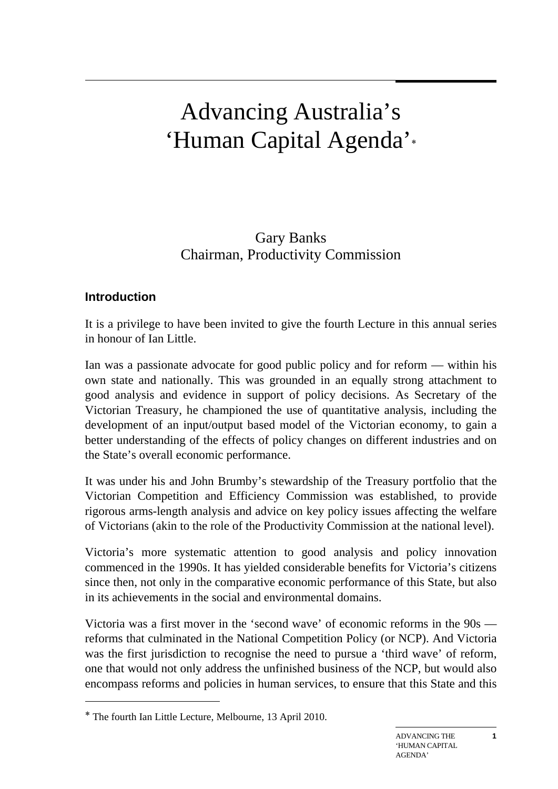# Advancing Australia's 'Human Capital Agenda'∗

Gary Banks Chairman, Productivity Commission

## **Introduction**

It is a privilege to have been invited to give the fourth Lecture in this annual series in honour of Ian Little.

Ian was a passionate advocate for good public policy and for reform — within his own state and nationally. This was grounded in an equally strong attachment to good analysis and evidence in support of policy decisions. As Secretary of the Victorian Treasury, he championed the use of quantitative analysis, including the development of an input/output based model of the Victorian economy, to gain a better understanding of the effects of policy changes on different industries and on the State's overall economic performance.

It was under his and John Brumby's stewardship of the Treasury portfolio that the Victorian Competition and Efficiency Commission was established, to provide rigorous arms-length analysis and advice on key policy issues affecting the welfare of Victorians (akin to the role of the Productivity Commission at the national level).

Victoria's more systematic attention to good analysis and policy innovation commenced in the 1990s. It has yielded considerable benefits for Victoria's citizens since then, not only in the comparative economic performance of this State, but also in its achievements in the social and environmental domains.

Victoria was a first mover in the 'second wave' of economic reforms in the 90s reforms that culminated in the National Competition Policy (or NCP). And Victoria was the first jurisdiction to recognise the need to pursue a 'third wave' of reform, one that would not only address the unfinished business of the NCP, but would also encompass reforms and policies in human services, to ensure that this State and this

**1** 

<sup>∗</sup> The fourth Ian Little Lecture, Melbourne, 13 April 2010.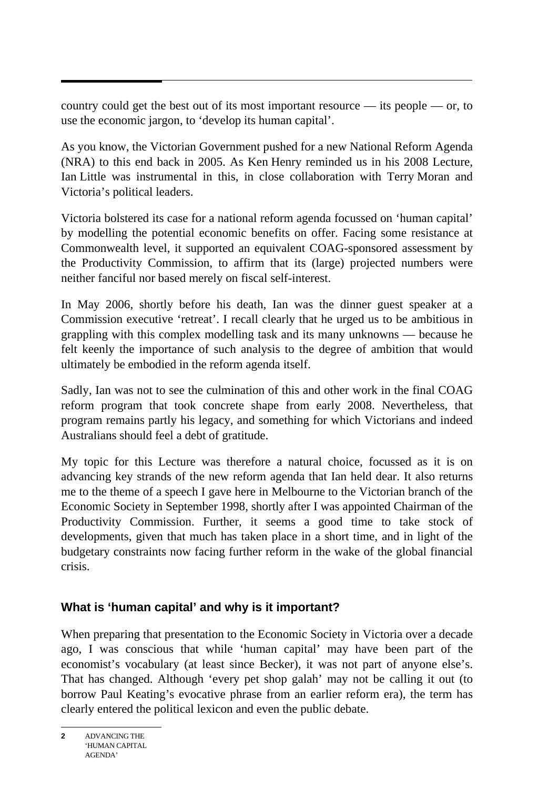country could get the best out of its most important resource — its people — or, to use the economic jargon, to 'develop its human capital'.

As you know, the Victorian Government pushed for a new National Reform Agenda (NRA) to this end back in 2005. As Ken Henry reminded us in his 2008 Lecture, Ian Little was instrumental in this, in close collaboration with Terry Moran and Victoria's political leaders.

Victoria bolstered its case for a national reform agenda focussed on 'human capital' by modelling the potential economic benefits on offer. Facing some resistance at Commonwealth level, it supported an equivalent COAG-sponsored assessment by the Productivity Commission, to affirm that its (large) projected numbers were neither fanciful nor based merely on fiscal self-interest.

In May 2006, shortly before his death, Ian was the dinner guest speaker at a Commission executive 'retreat'. I recall clearly that he urged us to be ambitious in grappling with this complex modelling task and its many unknowns — because he felt keenly the importance of such analysis to the degree of ambition that would ultimately be embodied in the reform agenda itself.

Sadly, Ian was not to see the culmination of this and other work in the final COAG reform program that took concrete shape from early 2008. Nevertheless, that program remains partly his legacy, and something for which Victorians and indeed Australians should feel a debt of gratitude.

My topic for this Lecture was therefore a natural choice, focussed as it is on advancing key strands of the new reform agenda that Ian held dear. It also returns me to the theme of a speech I gave here in Melbourne to the Victorian branch of the Economic Society in September 1998, shortly after I was appointed Chairman of the Productivity Commission. Further, it seems a good time to take stock of developments, given that much has taken place in a short time, and in light of the budgetary constraints now facing further reform in the wake of the global financial crisis.

# **What is 'human capital' and why is it important?**

When preparing that presentation to the Economic Society in Victoria over a decade ago, I was conscious that while 'human capital' may have been part of the economist's vocabulary (at least since Becker), it was not part of anyone else's. That has changed. Although 'every pet shop galah' may not be calling it out (to borrow Paul Keating's evocative phrase from an earlier reform era), the term has clearly entered the political lexicon and even the public debate.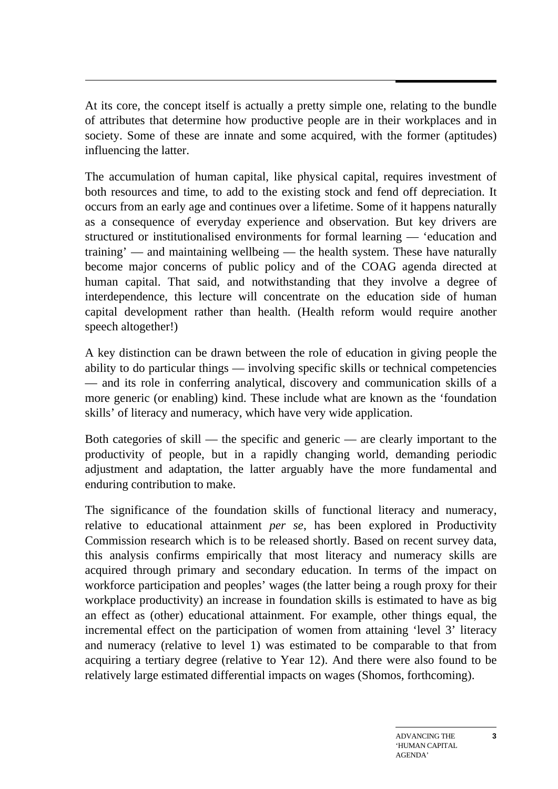At its core, the concept itself is actually a pretty simple one, relating to the bundle of attributes that determine how productive people are in their workplaces and in society. Some of these are innate and some acquired, with the former (aptitudes) influencing the latter.

The accumulation of human capital, like physical capital, requires investment of both resources and time, to add to the existing stock and fend off depreciation. It occurs from an early age and continues over a lifetime. Some of it happens naturally as a consequence of everyday experience and observation. But key drivers are structured or institutionalised environments for formal learning — 'education and training' — and maintaining wellbeing — the health system. These have naturally become major concerns of public policy and of the COAG agenda directed at human capital. That said, and notwithstanding that they involve a degree of interdependence, this lecture will concentrate on the education side of human capital development rather than health. (Health reform would require another speech altogether!)

A key distinction can be drawn between the role of education in giving people the ability to do particular things — involving specific skills or technical competencies — and its role in conferring analytical, discovery and communication skills of a more generic (or enabling) kind. These include what are known as the 'foundation skills' of literacy and numeracy, which have very wide application.

Both categories of skill — the specific and generic — are clearly important to the productivity of people, but in a rapidly changing world, demanding periodic adjustment and adaptation, the latter arguably have the more fundamental and enduring contribution to make.

The significance of the foundation skills of functional literacy and numeracy, relative to educational attainment *per se*, has been explored in Productivity Commission research which is to be released shortly. Based on recent survey data, this analysis confirms empirically that most literacy and numeracy skills are acquired through primary and secondary education. In terms of the impact on workforce participation and peoples' wages (the latter being a rough proxy for their workplace productivity) an increase in foundation skills is estimated to have as big an effect as (other) educational attainment. For example, other things equal, the incremental effect on the participation of women from attaining 'level 3' literacy and numeracy (relative to level 1) was estimated to be comparable to that from acquiring a tertiary degree (relative to Year 12). And there were also found to be relatively large estimated differential impacts on wages (Shomos, forthcoming).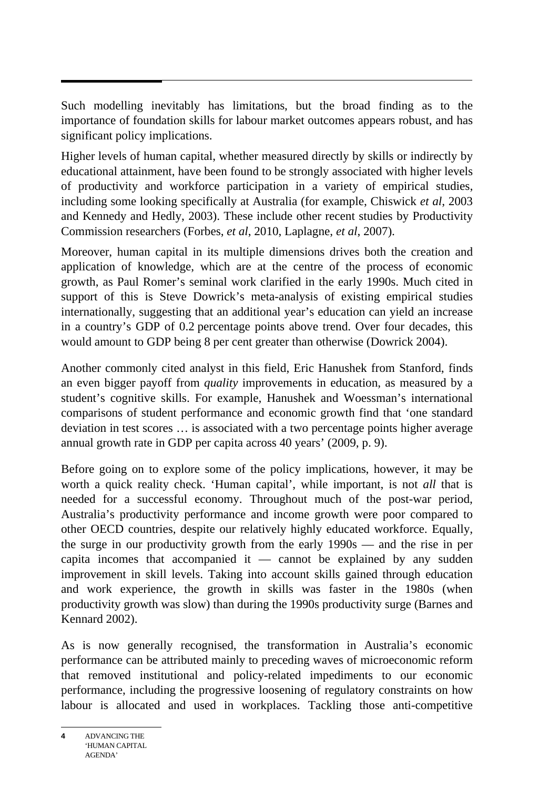Such modelling inevitably has limitations, but the broad finding as to the importance of foundation skills for labour market outcomes appears robust, and has significant policy implications.

Higher levels of human capital, whether measured directly by skills or indirectly by educational attainment, have been found to be strongly associated with higher levels of productivity and workforce participation in a variety of empirical studies, including some looking specifically at Australia (for example, Chiswick *et al*, 2003 and Kennedy and Hedly, 2003). These include other recent studies by Productivity Commission researchers (Forbes, *et al*, 2010, Laplagne, *et al*, 2007).

Moreover, human capital in its multiple dimensions drives both the creation and application of knowledge, which are at the centre of the process of economic growth, as Paul Romer's seminal work clarified in the early 1990s. Much cited in support of this is Steve Dowrick's meta-analysis of existing empirical studies internationally, suggesting that an additional year's education can yield an increase in a country's GDP of 0.2 percentage points above trend. Over four decades, this would amount to GDP being 8 per cent greater than otherwise (Dowrick 2004).

Another commonly cited analyst in this field, Eric Hanushek from Stanford, finds an even bigger payoff from *quality* improvements in education, as measured by a student's cognitive skills. For example, Hanushek and Woessman's international comparisons of student performance and economic growth find that 'one standard deviation in test scores … is associated with a two percentage points higher average annual growth rate in GDP per capita across 40 years' (2009, p. 9).

Before going on to explore some of the policy implications, however, it may be worth a quick reality check. 'Human capital', while important, is not *all* that is needed for a successful economy. Throughout much of the post-war period, Australia's productivity performance and income growth were poor compared to other OECD countries, despite our relatively highly educated workforce. Equally, the surge in our productivity growth from the early 1990s — and the rise in per capita incomes that accompanied it  $-$  cannot be explained by any sudden improvement in skill levels. Taking into account skills gained through education and work experience, the growth in skills was faster in the 1980s (when productivity growth was slow) than during the 1990s productivity surge (Barnes and Kennard 2002).

As is now generally recognised, the transformation in Australia's economic performance can be attributed mainly to preceding waves of microeconomic reform that removed institutional and policy-related impediments to our economic performance, including the progressive loosening of regulatory constraints on how labour is allocated and used in workplaces. Tackling those anti-competitive

ADVANCING THE 'HUMAN CAPITAL AGENDA' **4**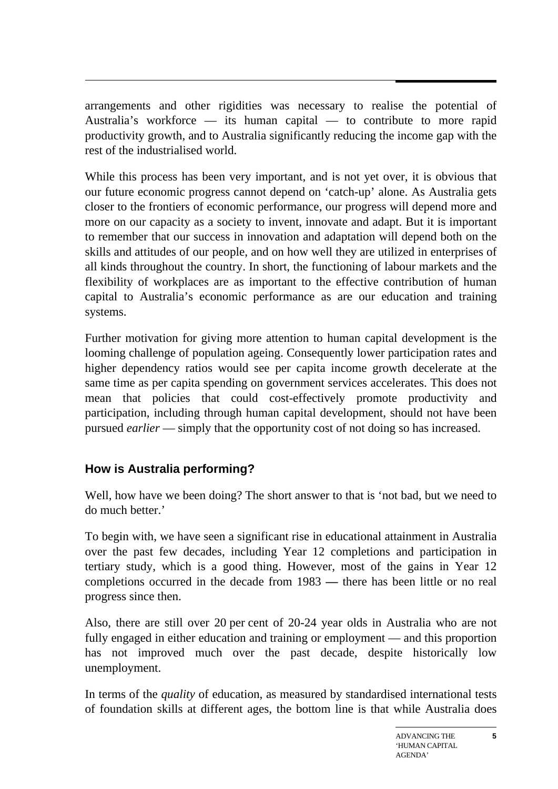arrangements and other rigidities was necessary to realise the potential of Australia's workforce — its human capital — to contribute to more rapid productivity growth, and to Australia significantly reducing the income gap with the rest of the industrialised world.

While this process has been very important, and is not yet over, it is obvious that our future economic progress cannot depend on 'catch-up' alone. As Australia gets closer to the frontiers of economic performance, our progress will depend more and more on our capacity as a society to invent, innovate and adapt. But it is important to remember that our success in innovation and adaptation will depend both on the skills and attitudes of our people, and on how well they are utilized in enterprises of all kinds throughout the country. In short, the functioning of labour markets and the flexibility of workplaces are as important to the effective contribution of human capital to Australia's economic performance as are our education and training systems.

Further motivation for giving more attention to human capital development is the looming challenge of population ageing. Consequently lower participation rates and higher dependency ratios would see per capita income growth decelerate at the same time as per capita spending on government services accelerates. This does not mean that policies that could cost-effectively promote productivity and participation, including through human capital development, should not have been pursued *earlier* — simply that the opportunity cost of not doing so has increased.

# **How is Australia performing?**

Well, how have we been doing? The short answer to that is 'not bad, but we need to do much better.'

To begin with, we have seen a significant rise in educational attainment in Australia over the past few decades, including Year 12 completions and participation in tertiary study, which is a good thing. However, most of the gains in Year 12 completions occurred in the decade from 1983 *—* there has been little or no real progress since then.

Also, there are still over 20 per cent of 20-24 year olds in Australia who are not fully engaged in either education and training or employment — and this proportion has not improved much over the past decade, despite historically low unemployment.

In terms of the *quality* of education, as measured by standardised international tests of foundation skills at different ages, the bottom line is that while Australia does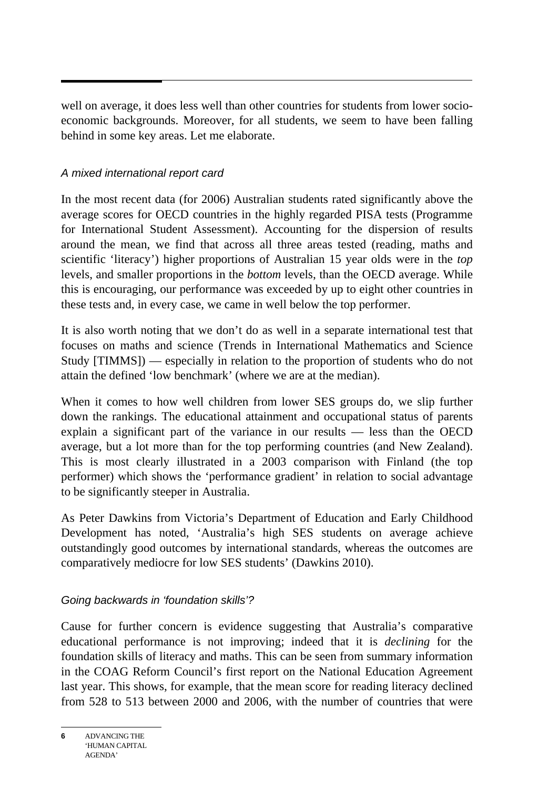well on average, it does less well than other countries for students from lower socioeconomic backgrounds. Moreover, for all students, we seem to have been falling behind in some key areas. Let me elaborate.

### *A mixed international report card*

In the most recent data (for 2006) Australian students rated significantly above the average scores for OECD countries in the highly regarded PISA tests (Programme for International Student Assessment). Accounting for the dispersion of results around the mean, we find that across all three areas tested (reading, maths and scientific 'literacy') higher proportions of Australian 15 year olds were in the *top*  levels, and smaller proportions in the *bottom* levels, than the OECD average. While this is encouraging, our performance was exceeded by up to eight other countries in these tests and, in every case, we came in well below the top performer.

It is also worth noting that we don't do as well in a separate international test that focuses on maths and science (Trends in International Mathematics and Science Study [TIMMS]) — especially in relation to the proportion of students who do not attain the defined 'low benchmark' (where we are at the median).

When it comes to how well children from lower SES groups do, we slip further down the rankings. The educational attainment and occupational status of parents explain a significant part of the variance in our results — less than the OECD average, but a lot more than for the top performing countries (and New Zealand). This is most clearly illustrated in a 2003 comparison with Finland (the top performer) which shows the 'performance gradient' in relation to social advantage to be significantly steeper in Australia.

As Peter Dawkins from Victoria's Department of Education and Early Childhood Development has noted, 'Australia's high SES students on average achieve outstandingly good outcomes by international standards, whereas the outcomes are comparatively mediocre for low SES students' (Dawkins 2010).

### *Going backwards in 'foundation skills'?*

Cause for further concern is evidence suggesting that Australia's comparative educational performance is not improving; indeed that it is *declining* for the foundation skills of literacy and maths. This can be seen from summary information in the COAG Reform Council's first report on the National Education Agreement last year. This shows, for example, that the mean score for reading literacy declined from 528 to 513 between 2000 and 2006, with the number of countries that were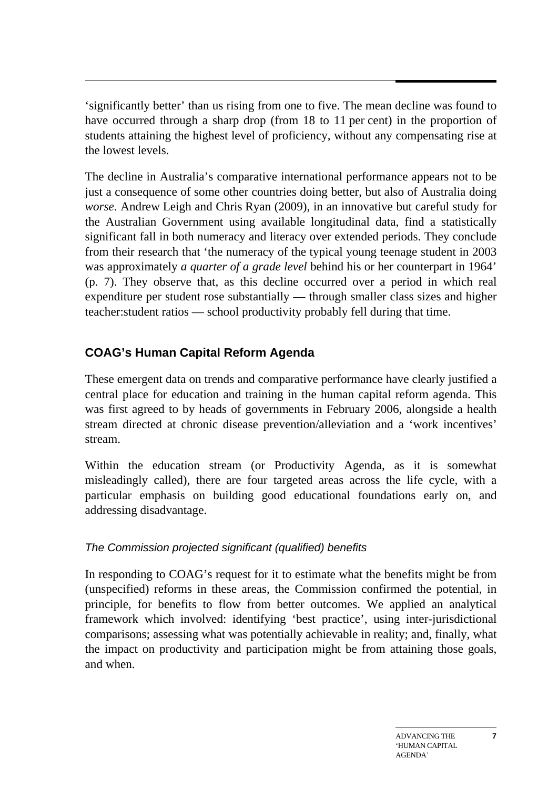'significantly better' than us rising from one to five. The mean decline was found to have occurred through a sharp drop (from 18 to 11 per cent) in the proportion of students attaining the highest level of proficiency, without any compensating rise at the lowest levels.

The decline in Australia's comparative international performance appears not to be just a consequence of some other countries doing better, but also of Australia doing *worse*. Andrew Leigh and Chris Ryan (2009), in an innovative but careful study for the Australian Government using available longitudinal data, find a statistically significant fall in both numeracy and literacy over extended periods. They conclude from their research that 'the numeracy of the typical young teenage student in 2003 was approximately *a quarter of a grade level* behind his or her counterpart in 1964' (p. 7). They observe that, as this decline occurred over a period in which real expenditure per student rose substantially — through smaller class sizes and higher teacher:student ratios — school productivity probably fell during that time.

# **COAG's Human Capital Reform Agenda**

These emergent data on trends and comparative performance have clearly justified a central place for education and training in the human capital reform agenda. This was first agreed to by heads of governments in February 2006, alongside a health stream directed at chronic disease prevention/alleviation and a 'work incentives' stream.

Within the education stream (or Productivity Agenda, as it is somewhat misleadingly called), there are four targeted areas across the life cycle, with a particular emphasis on building good educational foundations early on, and addressing disadvantage.

# *The Commission projected significant (qualified) benefits*

In responding to COAG's request for it to estimate what the benefits might be from (unspecified) reforms in these areas, the Commission confirmed the potential, in principle, for benefits to flow from better outcomes. We applied an analytical framework which involved: identifying 'best practice', using inter-jurisdictional comparisons; assessing what was potentially achievable in reality; and, finally, what the impact on productivity and participation might be from attaining those goals, and when.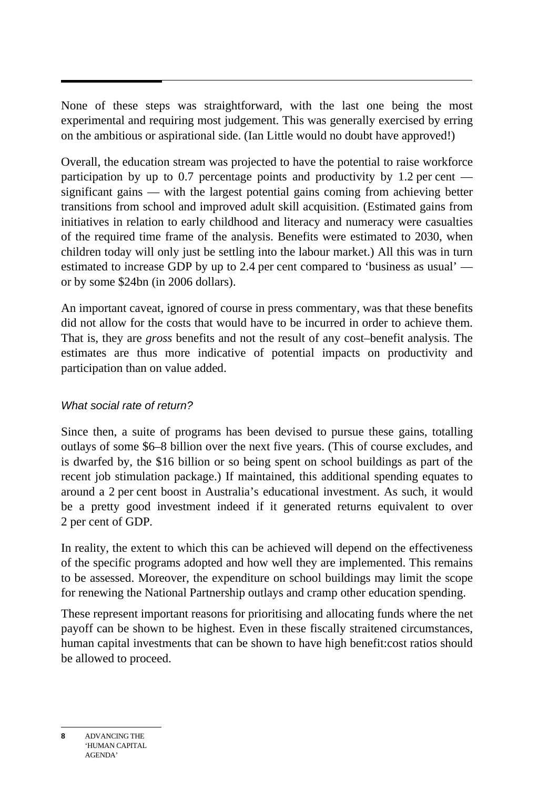None of these steps was straightforward, with the last one being the most experimental and requiring most judgement. This was generally exercised by erring on the ambitious or aspirational side. (Ian Little would no doubt have approved!)

Overall, the education stream was projected to have the potential to raise workforce participation by up to 0.7 percentage points and productivity by 1.2 per cent significant gains — with the largest potential gains coming from achieving better transitions from school and improved adult skill acquisition. (Estimated gains from initiatives in relation to early childhood and literacy and numeracy were casualties of the required time frame of the analysis. Benefits were estimated to 2030, when children today will only just be settling into the labour market.) All this was in turn estimated to increase GDP by up to 2.4 per cent compared to 'business as usual' or by some \$24bn (in 2006 dollars).

An important caveat, ignored of course in press commentary, was that these benefits did not allow for the costs that would have to be incurred in order to achieve them. That is, they are *gross* benefits and not the result of any cost–benefit analysis. The estimates are thus more indicative of potential impacts on productivity and participation than on value added.

### *What social rate of return?*

Since then, a suite of programs has been devised to pursue these gains, totalling outlays of some \$6–8 billion over the next five years. (This of course excludes, and is dwarfed by, the \$16 billion or so being spent on school buildings as part of the recent job stimulation package.) If maintained, this additional spending equates to around a 2 per cent boost in Australia's educational investment. As such, it would be a pretty good investment indeed if it generated returns equivalent to over 2 per cent of GDP*.* 

In reality, the extent to which this can be achieved will depend on the effectiveness of the specific programs adopted and how well they are implemented. This remains to be assessed. Moreover, the expenditure on school buildings may limit the scope for renewing the National Partnership outlays and cramp other education spending.

These represent important reasons for prioritising and allocating funds where the net payoff can be shown to be highest. Even in these fiscally straitened circumstances, human capital investments that can be shown to have high benefit:cost ratios should be allowed to proceed.

ADVANCING THE 'HUMAN CAPITAL AGENDA' **8**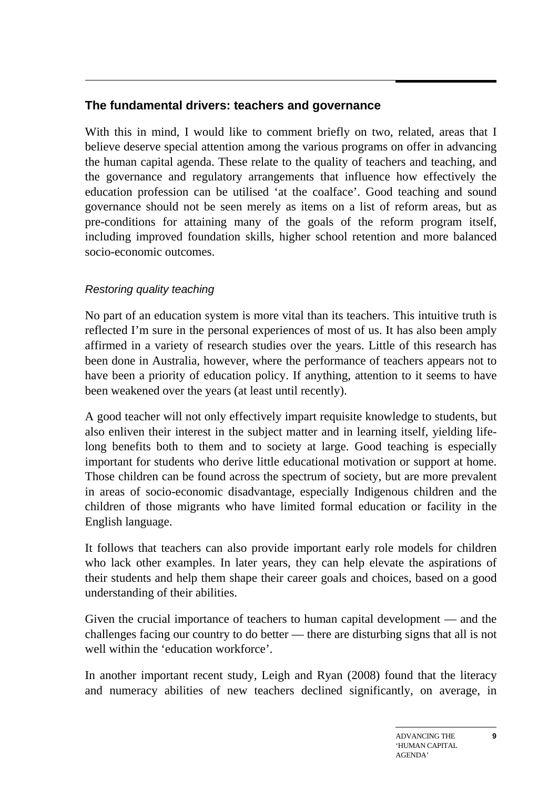# **The fundamental drivers: teachers and governance**

With this in mind, I would like to comment briefly on two, related, areas that I believe deserve special attention among the various programs on offer in advancing the human capital agenda. These relate to the quality of teachers and teaching, and the governance and regulatory arrangements that influence how effectively the education profession can be utilised 'at the coalface'. Good teaching and sound governance should not be seen merely as items on a list of reform areas, but as pre-conditions for attaining many of the goals of the reform program itself, including improved foundation skills, higher school retention and more balanced socio-economic outcomes.

### *Restoring quality teaching*

No part of an education system is more vital than its teachers. This intuitive truth is reflected I'm sure in the personal experiences of most of us. It has also been amply affirmed in a variety of research studies over the years. Little of this research has been done in Australia, however, where the performance of teachers appears not to have been a priority of education policy. If anything, attention to it seems to have been weakened over the years (at least until recently).

A good teacher will not only effectively impart requisite knowledge to students, but also enliven their interest in the subject matter and in learning itself, yielding lifelong benefits both to them and to society at large. Good teaching is especially important for students who derive little educational motivation or support at home. Those children can be found across the spectrum of society, but are more prevalent in areas of socio-economic disadvantage, especially Indigenous children and the children of those migrants who have limited formal education or facility in the English language.

It follows that teachers can also provide important early role models for children who lack other examples. In later years, they can help elevate the aspirations of their students and help them shape their career goals and choices, based on a good understanding of their abilities.

Given the crucial importance of teachers to human capital development — and the challenges facing our country to do better — there are disturbing signs that all is not well within the 'education workforce'.

In another important recent study, Leigh and Ryan (2008) found that the literacy and numeracy abilities of new teachers declined significantly, on average, in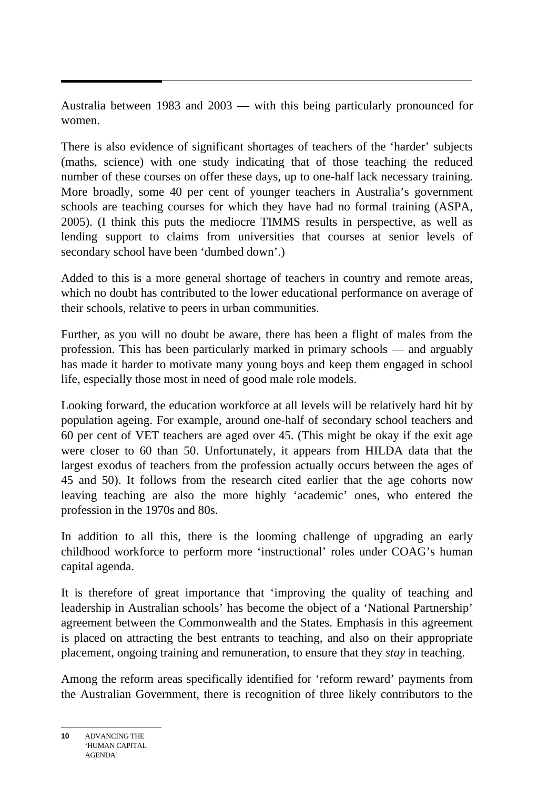Australia between 1983 and 2003 — with this being particularly pronounced for women.

There is also evidence of significant shortages of teachers of the 'harder' subjects (maths, science) with one study indicating that of those teaching the reduced number of these courses on offer these days, up to one-half lack necessary training. More broadly, some 40 per cent of younger teachers in Australia's government schools are teaching courses for which they have had no formal training (ASPA, 2005). (I think this puts the mediocre TIMMS results in perspective, as well as lending support to claims from universities that courses at senior levels of secondary school have been 'dumbed down'.)

Added to this is a more general shortage of teachers in country and remote areas, which no doubt has contributed to the lower educational performance on average of their schools, relative to peers in urban communities.

Further, as you will no doubt be aware, there has been a flight of males from the profession. This has been particularly marked in primary schools — and arguably has made it harder to motivate many young boys and keep them engaged in school life, especially those most in need of good male role models.

Looking forward, the education workforce at all levels will be relatively hard hit by population ageing. For example, around one-half of secondary school teachers and 60 per cent of VET teachers are aged over 45. (This might be okay if the exit age were closer to 60 than 50. Unfortunately, it appears from HILDA data that the largest exodus of teachers from the profession actually occurs between the ages of 45 and 50). It follows from the research cited earlier that the age cohorts now leaving teaching are also the more highly 'academic' ones, who entered the profession in the 1970s and 80s.

In addition to all this, there is the looming challenge of upgrading an early childhood workforce to perform more 'instructional' roles under COAG's human capital agenda.

It is therefore of great importance that 'improving the quality of teaching and leadership in Australian schools' has become the object of a 'National Partnership' agreement between the Commonwealth and the States. Emphasis in this agreement is placed on attracting the best entrants to teaching, and also on their appropriate placement, ongoing training and remuneration, to ensure that they *stay* in teaching.

Among the reform areas specifically identified for 'reform reward' payments from the Australian Government, there is recognition of three likely contributors to the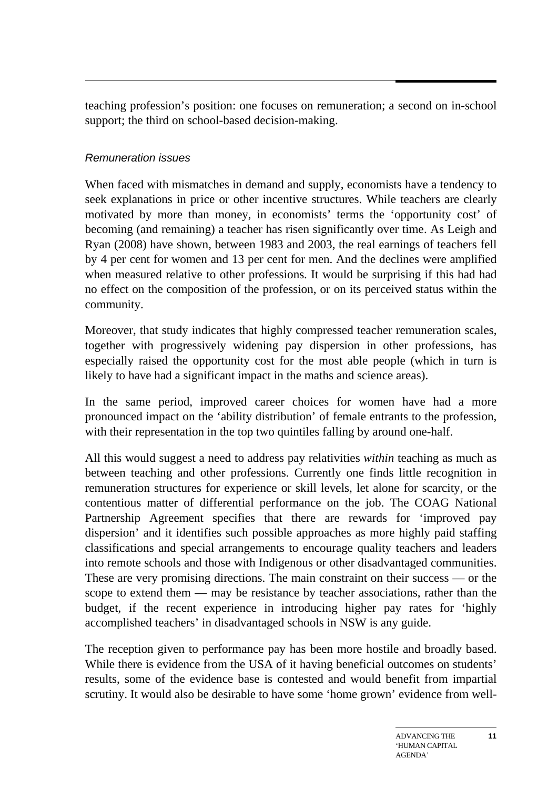teaching profession's position: one focuses on remuneration; a second on in-school support; the third on school-based decision-making.

### *Remuneration issues*

When faced with mismatches in demand and supply, economists have a tendency to seek explanations in price or other incentive structures. While teachers are clearly motivated by more than money, in economists' terms the 'opportunity cost' of becoming (and remaining) a teacher has risen significantly over time. As Leigh and Ryan (2008) have shown, between 1983 and 2003, the real earnings of teachers fell by 4 per cent for women and 13 per cent for men. And the declines were amplified when measured relative to other professions. It would be surprising if this had had no effect on the composition of the profession, or on its perceived status within the community.

Moreover, that study indicates that highly compressed teacher remuneration scales, together with progressively widening pay dispersion in other professions, has especially raised the opportunity cost for the most able people (which in turn is likely to have had a significant impact in the maths and science areas).

In the same period, improved career choices for women have had a more pronounced impact on the 'ability distribution' of female entrants to the profession, with their representation in the top two quintiles falling by around one-half.

All this would suggest a need to address pay relativities *within* teaching as much as between teaching and other professions. Currently one finds little recognition in remuneration structures for experience or skill levels, let alone for scarcity, or the contentious matter of differential performance on the job. The COAG National Partnership Agreement specifies that there are rewards for 'improved pay dispersion' and it identifies such possible approaches as more highly paid staffing classifications and special arrangements to encourage quality teachers and leaders into remote schools and those with Indigenous or other disadvantaged communities. These are very promising directions. The main constraint on their success — or the scope to extend them — may be resistance by teacher associations, rather than the budget, if the recent experience in introducing higher pay rates for 'highly accomplished teachers' in disadvantaged schools in NSW is any guide.

The reception given to performance pay has been more hostile and broadly based. While there is evidence from the USA of it having beneficial outcomes on students' results, some of the evidence base is contested and would benefit from impartial scrutiny. It would also be desirable to have some 'home grown' evidence from well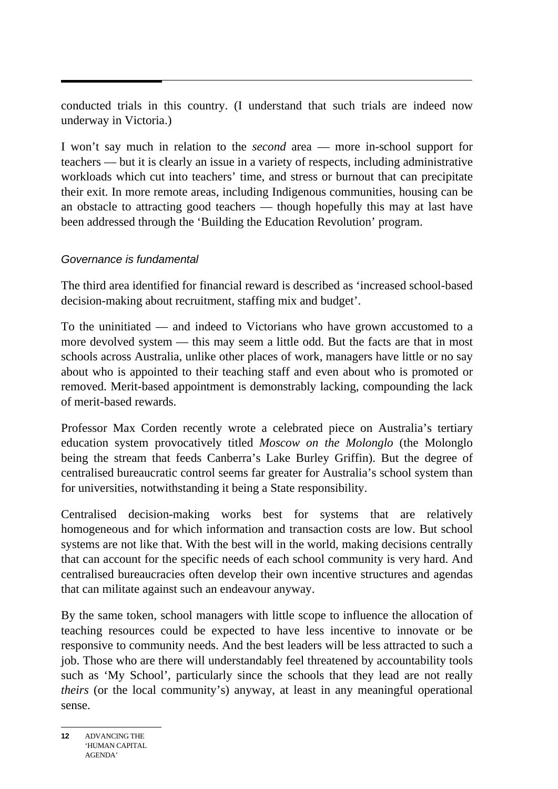conducted trials in this country. (I understand that such trials are indeed now underway in Victoria.)

I won't say much in relation to the *second* area — more in-school support for teachers — but it is clearly an issue in a variety of respects, including administrative workloads which cut into teachers' time, and stress or burnout that can precipitate their exit. In more remote areas, including Indigenous communities, housing can be an obstacle to attracting good teachers — though hopefully this may at last have been addressed through the 'Building the Education Revolution' program.

#### *Governance is fundamental*

The third area identified for financial reward is described as 'increased school-based decision-making about recruitment, staffing mix and budget'.

To the uninitiated — and indeed to Victorians who have grown accustomed to a more devolved system — this may seem a little odd. But the facts are that in most schools across Australia, unlike other places of work, managers have little or no say about who is appointed to their teaching staff and even about who is promoted or removed. Merit-based appointment is demonstrably lacking, compounding the lack of merit-based rewards.

Professor Max Corden recently wrote a celebrated piece on Australia's tertiary education system provocatively titled *Moscow on the Molonglo* (the Molonglo being the stream that feeds Canberra's Lake Burley Griffin). But the degree of centralised bureaucratic control seems far greater for Australia's school system than for universities, notwithstanding it being a State responsibility.

Centralised decision-making works best for systems that are relatively homogeneous and for which information and transaction costs are low. But school systems are not like that. With the best will in the world, making decisions centrally that can account for the specific needs of each school community is very hard. And centralised bureaucracies often develop their own incentive structures and agendas that can militate against such an endeavour anyway.

By the same token, school managers with little scope to influence the allocation of teaching resources could be expected to have less incentive to innovate or be responsive to community needs. And the best leaders will be less attracted to such a job. Those who are there will understandably feel threatened by accountability tools such as 'My School', particularly since the schools that they lead are not really *theirs* (or the local community's) anyway, at least in any meaningful operational sense.

**<sup>12</sup>** ADVANCING THE 'HUMAN CAPITAL AGENDA'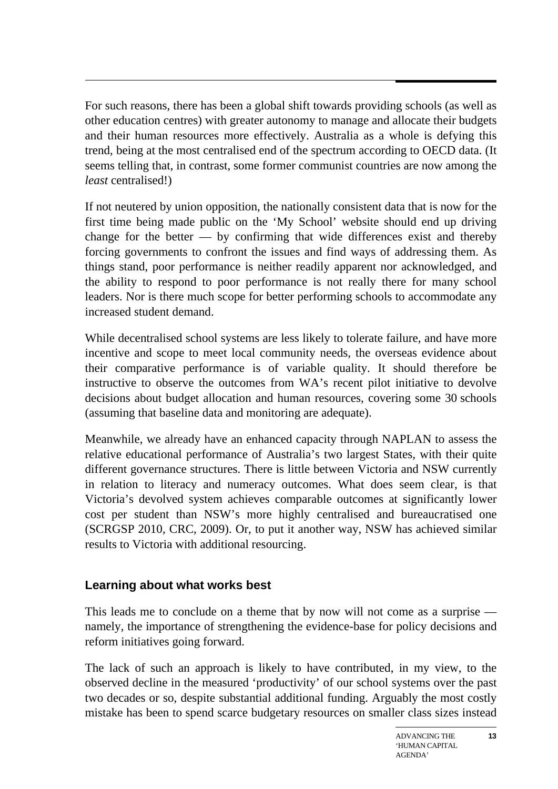For such reasons, there has been a global shift towards providing schools (as well as other education centres) with greater autonomy to manage and allocate their budgets and their human resources more effectively. Australia as a whole is defying this trend, being at the most centralised end of the spectrum according to OECD data. (It seems telling that, in contrast, some former communist countries are now among the *least* centralised!)

If not neutered by union opposition, the nationally consistent data that is now for the first time being made public on the 'My School' website should end up driving change for the better  $-$  by confirming that wide differences exist and thereby forcing governments to confront the issues and find ways of addressing them. As things stand, poor performance is neither readily apparent nor acknowledged, and the ability to respond to poor performance is not really there for many school leaders. Nor is there much scope for better performing schools to accommodate any increased student demand.

While decentralised school systems are less likely to tolerate failure, and have more incentive and scope to meet local community needs, the overseas evidence about their comparative performance is of variable quality. It should therefore be instructive to observe the outcomes from WA's recent pilot initiative to devolve decisions about budget allocation and human resources, covering some 30 schools (assuming that baseline data and monitoring are adequate).

Meanwhile, we already have an enhanced capacity through NAPLAN to assess the relative educational performance of Australia's two largest States, with their quite different governance structures. There is little between Victoria and NSW currently in relation to literacy and numeracy outcomes. What does seem clear, is that Victoria's devolved system achieves comparable outcomes at significantly lower cost per student than NSW's more highly centralised and bureaucratised one (SCRGSP 2010, CRC, 2009). Or, to put it another way, NSW has achieved similar results to Victoria with additional resourcing.

# **Learning about what works best**

This leads me to conclude on a theme that by now will not come as a surprise namely, the importance of strengthening the evidence-base for policy decisions and reform initiatives going forward.

The lack of such an approach is likely to have contributed, in my view, to the observed decline in the measured 'productivity' of our school systems over the past two decades or so, despite substantial additional funding. Arguably the most costly mistake has been to spend scarce budgetary resources on smaller class sizes instead

**13**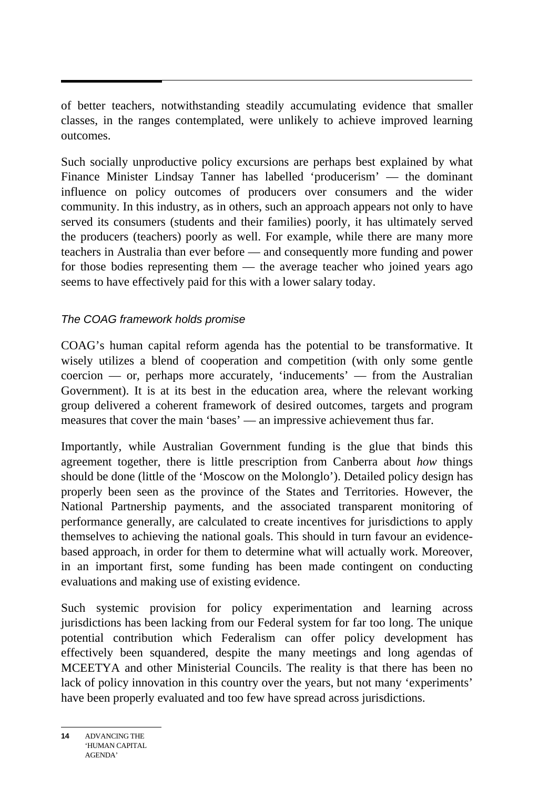of better teachers, notwithstanding steadily accumulating evidence that smaller classes, in the ranges contemplated, were unlikely to achieve improved learning outcomes.

Such socially unproductive policy excursions are perhaps best explained by what Finance Minister Lindsay Tanner has labelled 'producerism' — the dominant influence on policy outcomes of producers over consumers and the wider community. In this industry, as in others, such an approach appears not only to have served its consumers (students and their families) poorly, it has ultimately served the producers (teachers) poorly as well. For example, while there are many more teachers in Australia than ever before — and consequently more funding and power for those bodies representing them — the average teacher who joined years ago seems to have effectively paid for this with a lower salary today.

### *The COAG framework holds promise*

COAG's human capital reform agenda has the potential to be transformative. It wisely utilizes a blend of cooperation and competition (with only some gentle coercion — or, perhaps more accurately, 'inducements' — from the Australian Government). It is at its best in the education area, where the relevant working group delivered a coherent framework of desired outcomes, targets and program measures that cover the main 'bases' — an impressive achievement thus far.

Importantly, while Australian Government funding is the glue that binds this agreement together, there is little prescription from Canberra about *how* things should be done (little of the 'Moscow on the Molonglo'). Detailed policy design has properly been seen as the province of the States and Territories. However, the National Partnership payments, and the associated transparent monitoring of performance generally, are calculated to create incentives for jurisdictions to apply themselves to achieving the national goals. This should in turn favour an evidencebased approach, in order for them to determine what will actually work. Moreover, in an important first, some funding has been made contingent on conducting evaluations and making use of existing evidence.

Such systemic provision for policy experimentation and learning across jurisdictions has been lacking from our Federal system for far too long. The unique potential contribution which Federalism can offer policy development has effectively been squandered, despite the many meetings and long agendas of MCEETYA and other Ministerial Councils. The reality is that there has been no lack of policy innovation in this country over the years, but not many 'experiments' have been properly evaluated and too few have spread across jurisdictions.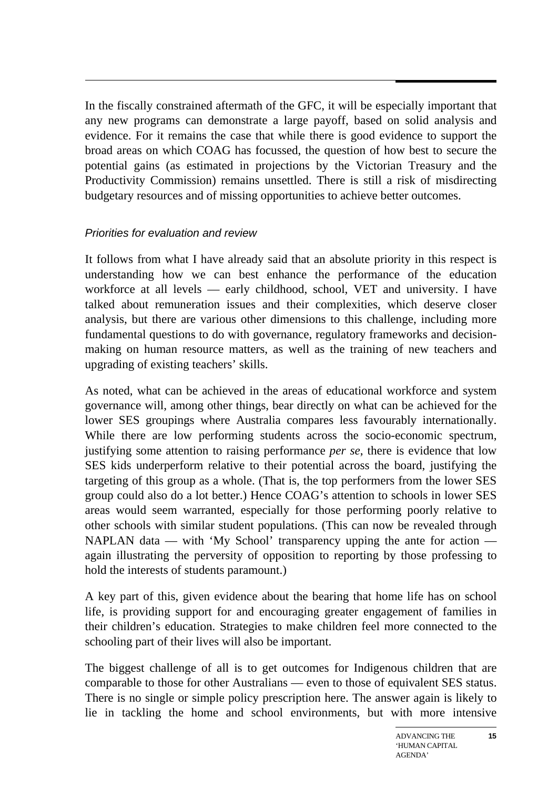In the fiscally constrained aftermath of the GFC, it will be especially important that any new programs can demonstrate a large payoff, based on solid analysis and evidence. For it remains the case that while there is good evidence to support the broad areas on which COAG has focussed, the question of how best to secure the potential gains (as estimated in projections by the Victorian Treasury and the Productivity Commission) remains unsettled. There is still a risk of misdirecting budgetary resources and of missing opportunities to achieve better outcomes.

#### *Priorities for evaluation and review*

It follows from what I have already said that an absolute priority in this respect is understanding how we can best enhance the performance of the education workforce at all levels — early childhood, school, VET and university. I have talked about remuneration issues and their complexities, which deserve closer analysis, but there are various other dimensions to this challenge, including more fundamental questions to do with governance, regulatory frameworks and decisionmaking on human resource matters, as well as the training of new teachers and upgrading of existing teachers' skills.

As noted, what can be achieved in the areas of educational workforce and system governance will, among other things, bear directly on what can be achieved for the lower SES groupings where Australia compares less favourably internationally. While there are low performing students across the socio-economic spectrum, justifying some attention to raising performance *per se*, there is evidence that low SES kids underperform relative to their potential across the board, justifying the targeting of this group as a whole. (That is, the top performers from the lower SES group could also do a lot better.) Hence COAG's attention to schools in lower SES areas would seem warranted, especially for those performing poorly relative to other schools with similar student populations. (This can now be revealed through NAPLAN data — with 'My School' transparency upping the ante for action again illustrating the perversity of opposition to reporting by those professing to hold the interests of students paramount.)

A key part of this, given evidence about the bearing that home life has on school life, is providing support for and encouraging greater engagement of families in their children's education. Strategies to make children feel more connected to the schooling part of their lives will also be important.

The biggest challenge of all is to get outcomes for Indigenous children that are comparable to those for other Australians — even to those of equivalent SES status. There is no single or simple policy prescription here. The answer again is likely to lie in tackling the home and school environments, but with more intensive

**15**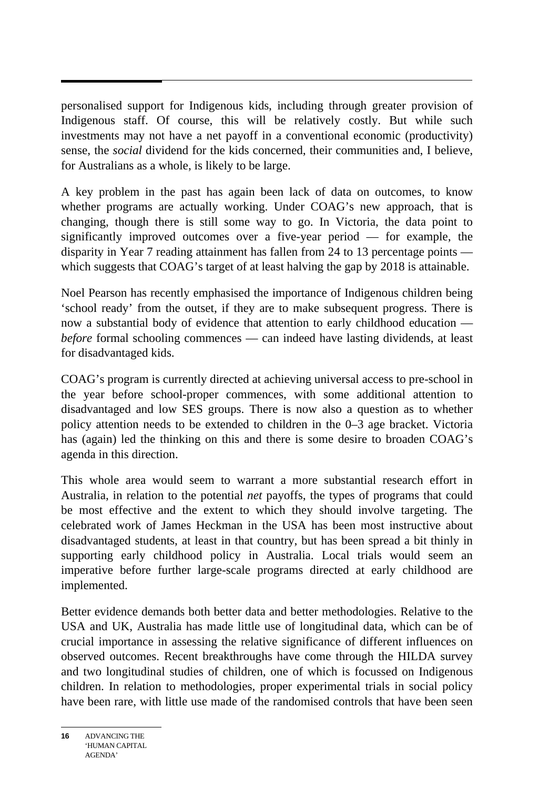personalised support for Indigenous kids, including through greater provision of Indigenous staff. Of course, this will be relatively costly. But while such investments may not have a net payoff in a conventional economic (productivity) sense, the *social* dividend for the kids concerned, their communities and, I believe, for Australians as a whole, is likely to be large.

A key problem in the past has again been lack of data on outcomes, to know whether programs are actually working. Under COAG's new approach, that is changing, though there is still some way to go. In Victoria, the data point to significantly improved outcomes over a five-year period — for example, the disparity in Year 7 reading attainment has fallen from 24 to 13 percentage points which suggests that COAG's target of at least halving the gap by 2018 is attainable.

Noel Pearson has recently emphasised the importance of Indigenous children being 'school ready' from the outset, if they are to make subsequent progress. There is now a substantial body of evidence that attention to early childhood education *before* formal schooling commences — can indeed have lasting dividends, at least for disadvantaged kids.

COAG's program is currently directed at achieving universal access to pre-school in the year before school-proper commences, with some additional attention to disadvantaged and low SES groups. There is now also a question as to whether policy attention needs to be extended to children in the 0–3 age bracket. Victoria has (again) led the thinking on this and there is some desire to broaden COAG's agenda in this direction.

This whole area would seem to warrant a more substantial research effort in Australia, in relation to the potential *net* payoffs, the types of programs that could be most effective and the extent to which they should involve targeting. The celebrated work of James Heckman in the USA has been most instructive about disadvantaged students, at least in that country, but has been spread a bit thinly in supporting early childhood policy in Australia. Local trials would seem an imperative before further large-scale programs directed at early childhood are implemented.

Better evidence demands both better data and better methodologies. Relative to the USA and UK, Australia has made little use of longitudinal data, which can be of crucial importance in assessing the relative significance of different influences on observed outcomes. Recent breakthroughs have come through the HILDA survey and two longitudinal studies of children, one of which is focussed on Indigenous children. In relation to methodologies, proper experimental trials in social policy have been rare, with little use made of the randomised controls that have been seen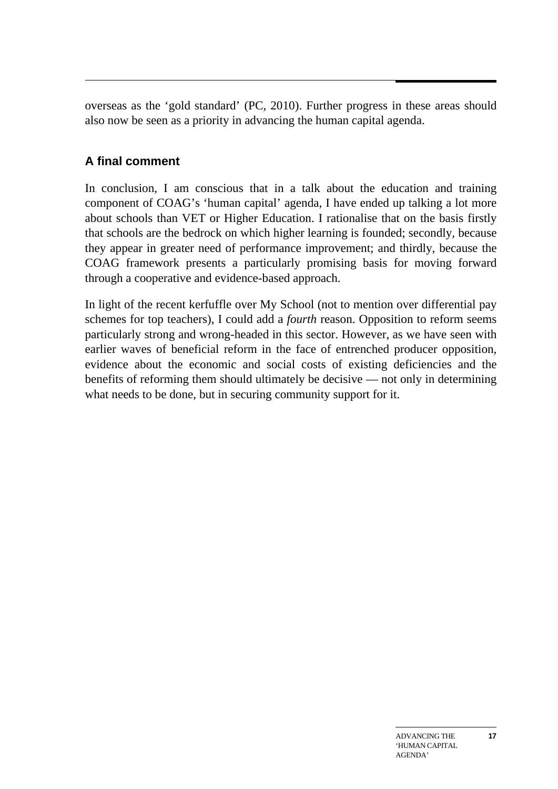overseas as the 'gold standard' (PC, 2010). Further progress in these areas should also now be seen as a priority in advancing the human capital agenda.

# **A final comment**

In conclusion, I am conscious that in a talk about the education and training component of COAG's 'human capital' agenda, I have ended up talking a lot more about schools than VET or Higher Education. I rationalise that on the basis firstly that schools are the bedrock on which higher learning is founded; secondly, because they appear in greater need of performance improvement; and thirdly, because the COAG framework presents a particularly promising basis for moving forward through a cooperative and evidence-based approach.

In light of the recent kerfuffle over My School (not to mention over differential pay schemes for top teachers), I could add a *fourth* reason. Opposition to reform seems particularly strong and wrong-headed in this sector. However, as we have seen with earlier waves of beneficial reform in the face of entrenched producer opposition, evidence about the economic and social costs of existing deficiencies and the benefits of reforming them should ultimately be decisive — not only in determining what needs to be done, but in securing community support for it.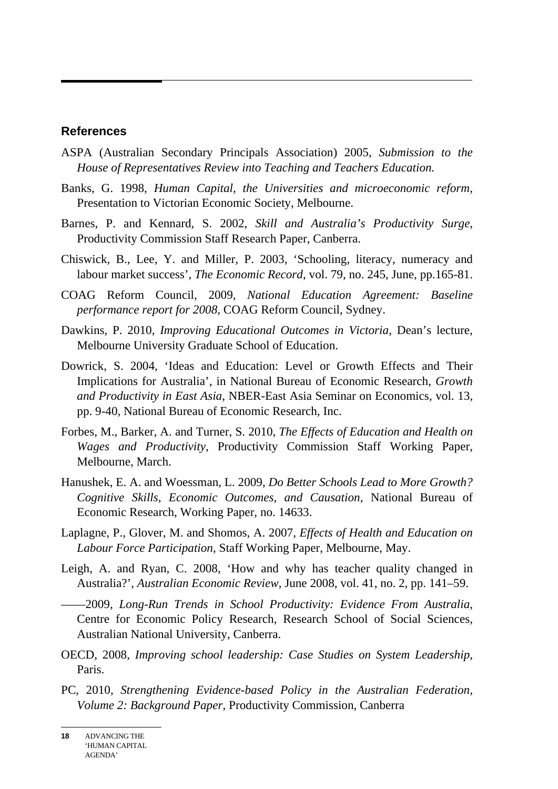#### **References**

- ASPA (Australian Secondary Principals Association) 2005, *Submission to the House of Representatives Review into Teaching and Teachers Education.*
- Banks, G. 1998, *Human Capital, the Universities and microeconomic reform*, Presentation to Victorian Economic Society, Melbourne.
- Barnes, P. and Kennard, S. 2002, *Skill and Australia's Productivity Surge*, Productivity Commission Staff Research Paper, Canberra.
- Chiswick, B., Lee, Y. and Miller, P. 2003, 'Schooling, literacy, numeracy and labour market success', *The Economic Record*, vol. 79, no. 245, June, pp.165-81.
- COAG Reform Council, 2009, *National Education Agreement: Baseline performance report for 2008,* COAG Reform Council, Sydney.
- Dawkins, P. 2010, *Improving Educational Outcomes in Victoria*, Dean's lecture, Melbourne University Graduate School of Education.
- Dowrick, S. 2004, 'Ideas and Education: Level or Growth Effects and Their Implications for Australia', in National Bureau of Economic Research, *Growth and Productivity in East Asia*, NBER-East Asia Seminar on Economics, vol. 13, pp. 9-40, National Bureau of Economic Research, Inc.
- Forbes, M., Barker, A. and Turner, S. 2010, *The Effects of Education and Health on Wages and Productivity*, Productivity Commission Staff Working Paper, Melbourne, March.
- Hanushek, E. A. and Woessman, L. 2009, *Do Better Schools Lead to More Growth? Cognitive Skills, Economic Outcomes, and Causation*, National Bureau of Economic Research, Working Paper, no. 14633.
- Laplagne, P., Glover, M. and Shomos, A. 2007, *Effects of Health and Education on Labour Force Participation*, Staff Working Paper, Melbourne, May.
- Leigh, A. and Ryan, C. 2008, 'How and why has teacher quality changed in Australia?', *Australian Economic Review*, June 2008, vol. 41, no. 2, pp. 141–59.

——2009, *Long-Run Trends in School Productivity: Evidence From Australia*, Centre for Economic Policy Research, Research School of Social Sciences, Australian National University, Canberra.

- OECD, 2008, *Improving school leadership: Case Studies on System Leadership*, Paris.
- PC, 2010, *Strengthening Evidence-based Policy in the Australian Federation, Volume 2: Background Paper*, Productivity Commission, Canberra

**<sup>18</sup>** ADVANCING THE 'HUMAN CAPITAL AGENDA'